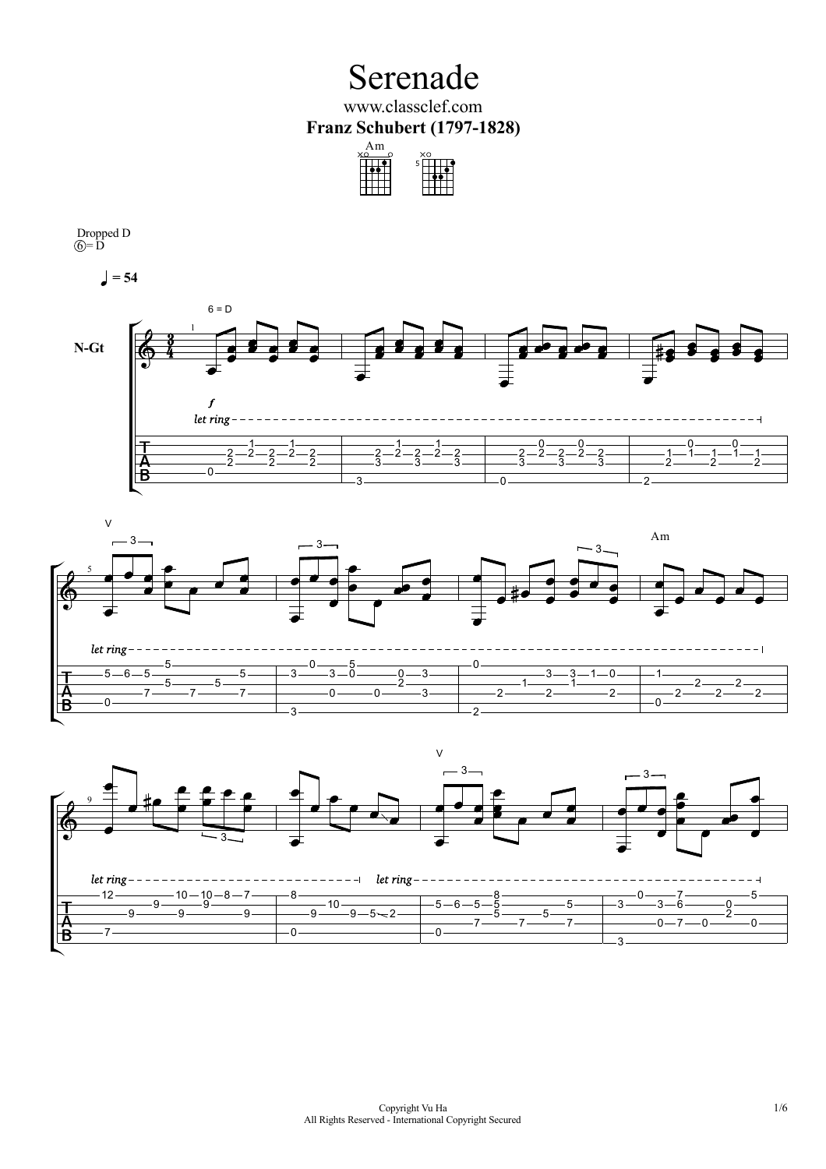## Serenade

www.classclef.com **Franz Schubert (1797-1828)**







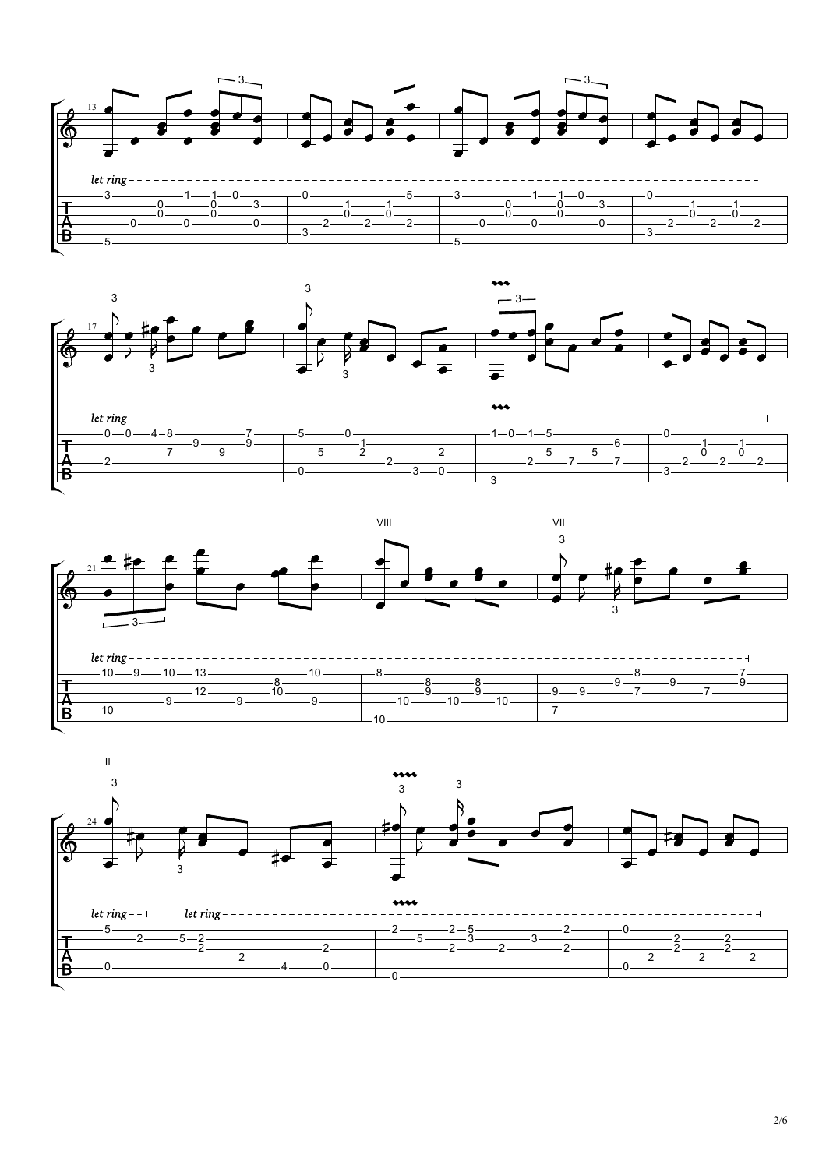

![](_page_1_Figure_1.jpeg)

 $\overline{0}$   $\overline{1}$   $\overline{1}$   $\overline{2}$   $\overline{1}$   $\overline{2}$   $\overline{3}$   $\overline{2}$   $\overline{3}$   $\overline{4}$   $\overline{2}$   $\overline{3}$   $\overline{4}$   $\overline{2}$   $\overline{3}$   $\overline{4}$   $\overline{2}$   $\overline{3}$   $\overline{4}$   $\overline{2}$   $\overline{3}$   $\overline{4}$   $\overline{2}$   $\overline{3}$   $\overline{$ 

 $2 - 7 - 7$ 

 $7 - 2$ 

 $\frac{-2 - 2 - 2}{3}$ 

 $\overline{0}$   $\overline{\phantom{0}}$ 

![](_page_1_Figure_2.jpeg)

![](_page_1_Figure_3.jpeg)

2/6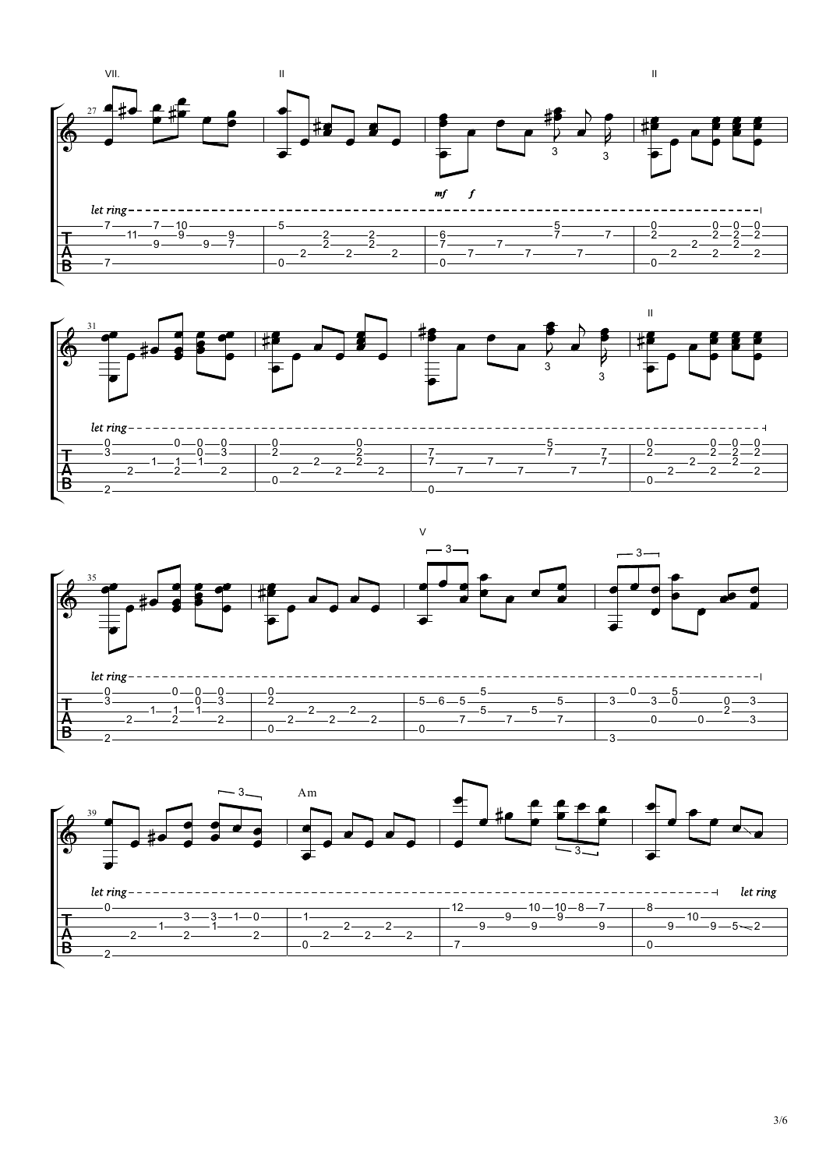![](_page_2_Figure_0.jpeg)

![](_page_2_Figure_1.jpeg)

![](_page_2_Figure_2.jpeg)

![](_page_2_Figure_3.jpeg)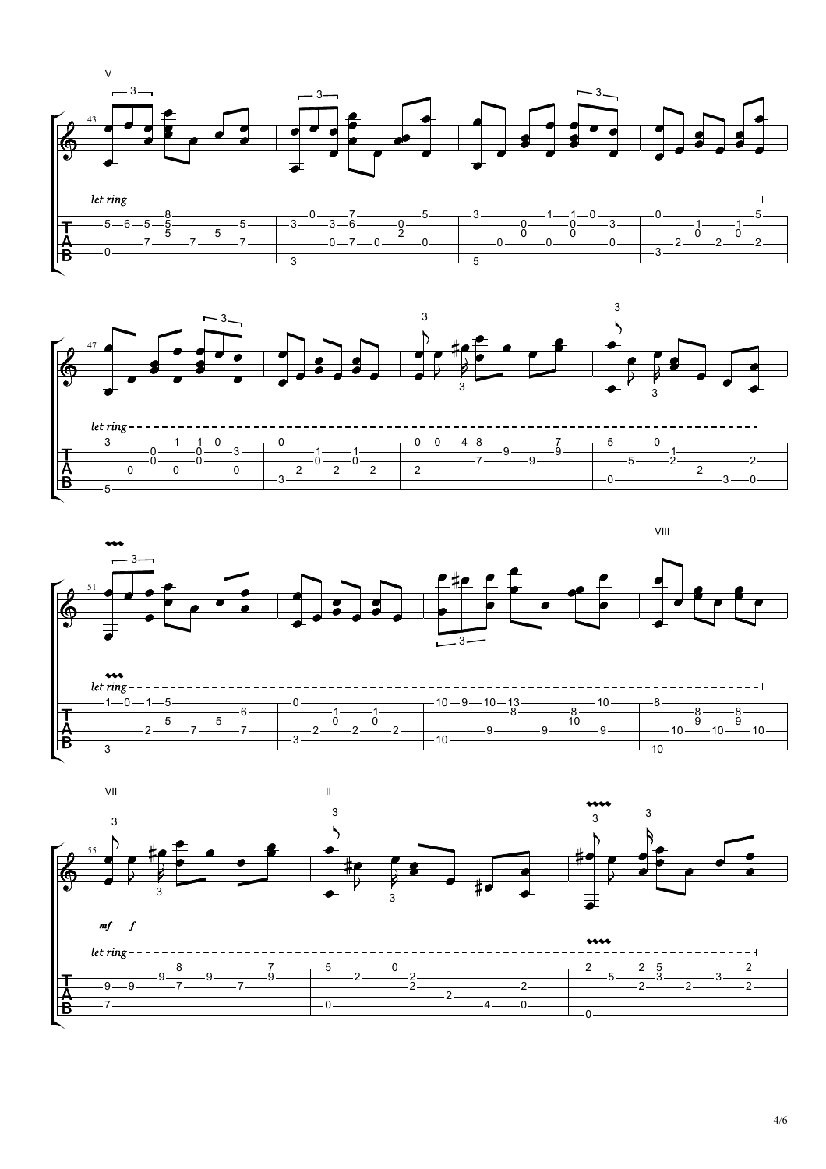![](_page_3_Figure_0.jpeg)

![](_page_3_Figure_1.jpeg)

![](_page_3_Figure_2.jpeg)

![](_page_3_Figure_3.jpeg)

4/6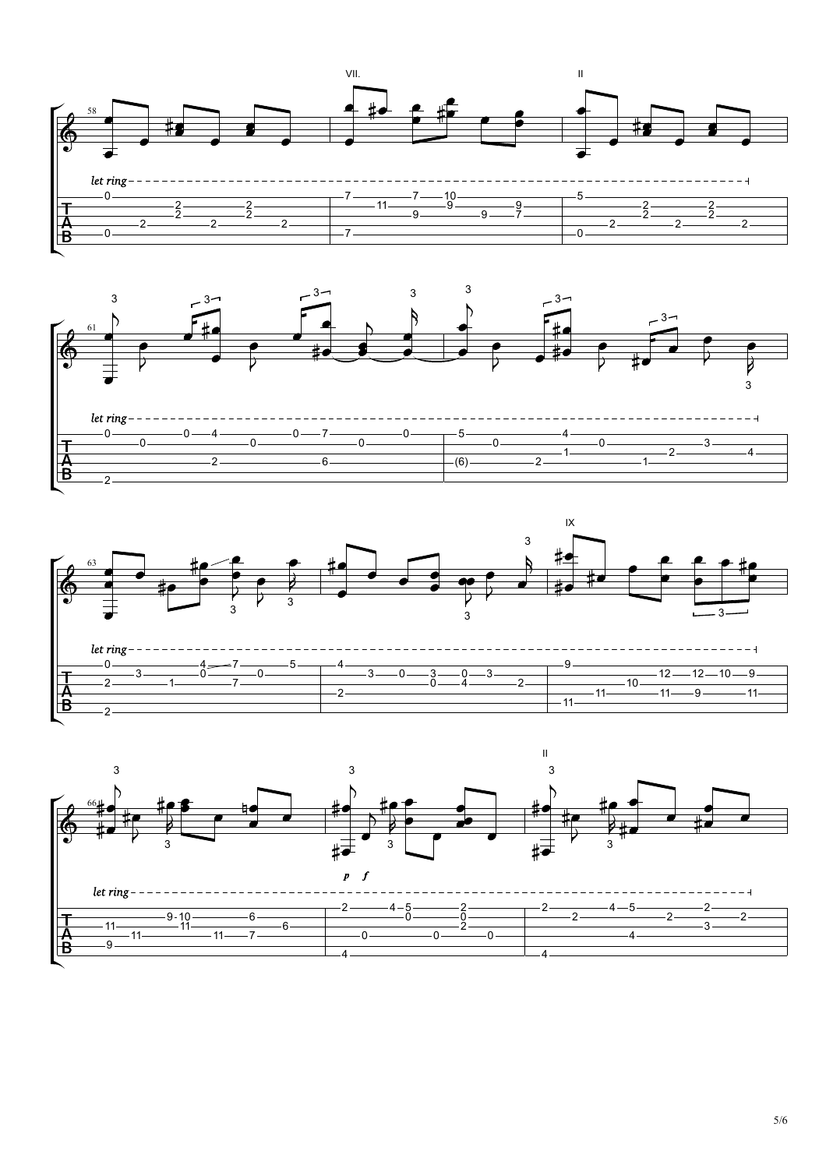![](_page_4_Figure_0.jpeg)

![](_page_4_Figure_1.jpeg)

![](_page_4_Figure_2.jpeg)

![](_page_4_Figure_3.jpeg)